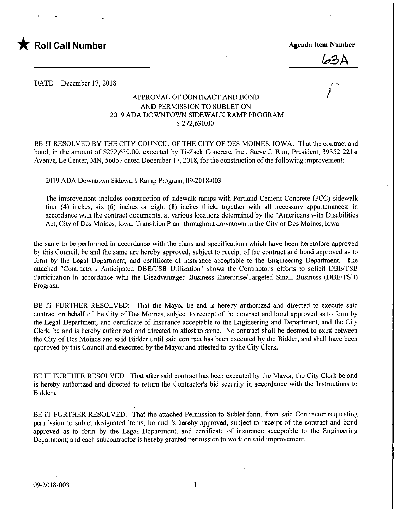

^3A

#### DATE December 17, 2018

### APPROVAL OF CONTRACT AND BOND AND PERMISSION TO SUBLET ON 2019 ADA DOWNTOWN SIDEWALK RAMP PROGRAM \$ 272,630.00

BE IT RESOLVED BY THE CITY COUNCIL OF THE CITY OF DES MOINES, IOWA: That the contract and bond, in the amount of \$272,630.00, executed by Ti-Zack Concrete, Inc., Steve J. Rutt, President, 39352 221st Avenue, Le Center, MN, 56057 dated December 17, 2018, for the construction of the following improvement;

2019 ADA Downtown Sidewalk Ramp Program, 09-2018-003

The improvement includes construction of sidewalk ramps with Portland Cement Concrete (PCC) sidewalk four (4) inches, six (6) inches or eight (8) inches thick, together with all necessary appurtenances; in accordance with the contract documents, at various locations determined by the "Americans with Disabilities Act, City of Des Moines, Iowa, Transition Plan" throughout downtown in the City of Des Moines, Iowa

the same to be performed in accordance with the plans and specifications which have been heretofore approved by this Council, be and the same are hereby approved, subject to receipt of the contract and bond approved as to form by the Legal Department, and certificate of insurance acceptable to the Engineering Department. The attached "Contractor's Anticipated DBE/TSB Utilization" shows the Contractor's efforts to solicit DBE/TSB Participation in accordance with the Disadvantaged Business Enterprise/Targeted Small Business (DBE/TSB) Program.

BE IT FURTHER RESOLVED: That the Mayor be and is hereby authorized and directed to execute said contract on behalf of the City of Des Moines, subject to receipt of the contract and bond approved as to form by the Legal Department, and certificate of insurance acceptable to the Engineering and Department, and the City Clerk, be and is hereby authorized and directed to attest to same. No contract shall be deemed to exist between the City of Des Moines and said Bidder until said contract has been executed by the Bidder, and shall have been approved by this Council and executed by the Mayor and attested to by the City Clerk.

BE IT FURTHER RESOLVED: That after said contract has been executed by the Mayor, the City Clerk be and is hereby authorized and directed to return the Contractor's bid security in accordance with the Instructions to Bidders.

BE IT FURTHER RESOLVED: That the attached Permission to Sublet form, from said Contractor requesting permission to sublet designated items, be and is hereby approved, subject to receipt of the contract and bond approved as to form by the Legal Department, and certificate of insurance acceptable to the Engineering Department; and each subcontractor is hereby granted permission to work on said improvement.

 $\mathbf{1}$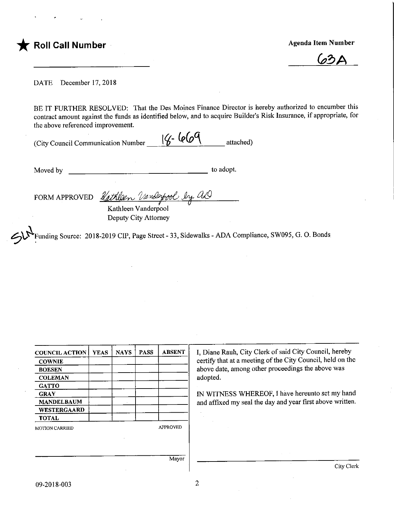

<u>b3A</u>

DATE December 17, 2018

BE IT FURTHER RESOLVED: That the Des Moines Finance Director is hereby authorized to encumber this contract amount against the funds as identified below, and to acquire Builder's Risk Insurance, if appropriate, for the above referenced improvement.

|                                    | $16 - 669$ |           |
|------------------------------------|------------|-----------|
| (City Council Communication Number |            | attached) |

Moved by to adopt.

FORM APPROVED Rathleen Unnderfool by an Kathleen Vanderpool

Deputy City Attorney

"Funding Source: 2018-2019 GIF, Page Street - 33, Sidewalks - ADA Compliance, SW095, G. 0. Bonds

| <b>COUNCIL ACTION</b> | <b>YEAS</b> | <b>NAYS</b> | <b>PASS</b> | <b>ABSENT</b>   | I, Diane Rauh, City Clerk of said City Council, hereby     |
|-----------------------|-------------|-------------|-------------|-----------------|------------------------------------------------------------|
| <b>COWNIE</b>         |             |             |             |                 | certify that at a meeting of the City Council, held on the |
| <b>BOESEN</b>         |             |             |             |                 | above date, among other proceedings the above was          |
| <b>COLEMAN</b>        |             |             |             |                 | adopted.                                                   |
| <b>GATTO</b>          |             |             |             |                 |                                                            |
| <b>GRAY</b>           |             |             |             |                 | IN WITNESS WHEREOF, I have hereunto set my hand            |
| <b>MANDELBAUM</b>     |             |             |             |                 | and affixed my seal the day and year first above written.  |
| <b>WESTERGAARD</b>    |             |             |             |                 |                                                            |
| <b>TOTAL</b>          |             |             |             |                 |                                                            |
| <b>MOTION CARRIED</b> |             |             |             | <b>APPROVED</b> |                                                            |
|                       |             |             |             |                 |                                                            |
|                       |             |             |             |                 |                                                            |
|                       |             |             |             |                 |                                                            |
|                       |             |             |             | Mayor           |                                                            |

City Clerk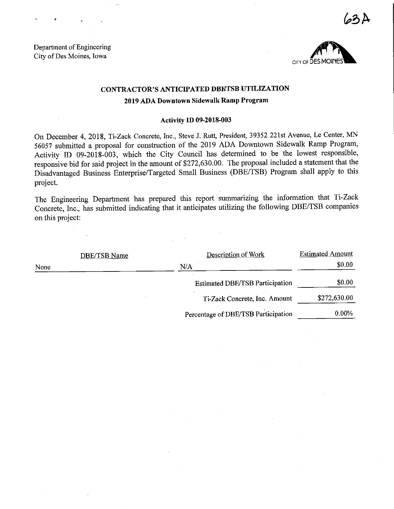Department of Engineering City of Des Moines, Iowa



 $3A$ 

# CONTRACTOR'S ANTICIPATED DBEfTSB UTILIZATION

## 2019 ADA Downtown Sidewalk Ramp Program

#### Activity ID 09-2018-003

On December 4, 2018, Ti-Zack Concrete, Inc., Steve J. Rutt, President, 39352 221st Avenue, Le Center, MN 56057 submitted a proposal for construction of the 2019 ADA Downtown Sidewalk Ramp Program, Activity ID 09-2018-003, which the City Council has determined to be the lowest responsible, responsive bid for said project in the amount of \$272,630.00. The proposal included a statement that the Disadvantaged Business Enterprise/Targeted Small Business (DBE/TSB) Program shall apply to this project.

The Engineering Department has prepared this report summarizing the information that Ti-Zack Concrete, Inc., has submitted indicating that it anticipates utilizing the following DBE/TSB companies on this project:

|      | DBE/TSB Name | Description of Work                    | <b>Estimated Amount</b> |
|------|--------------|----------------------------------------|-------------------------|
| None |              | N/A                                    | \$0.00                  |
|      |              | <b>Estimated DBE/TSB Participation</b> | \$0.00                  |
|      |              | Ti-Zack Concrete, Inc. Amount          | \$272,630.00            |
|      |              | Percentage of DBE/TSB Participation    | $0.00\%$                |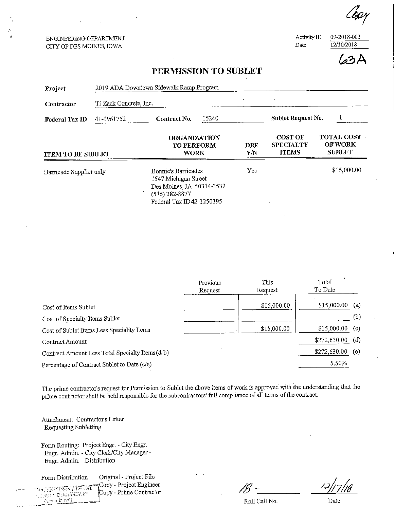ENGINEERING DEPARTMENT CITY OF DES MOINES, IOWA

Activity ID 09-2018-003<br>Date 12/10/2018  $\overline{12/10/2018}$ 

^.3A

## PERMISSION TO SUBLET

| Project                                                                             | 2019 ADA Downtown Sidewalk Ramp Program |                                                                                                                          |                   |                                                    |                                                      |             |  |  |
|-------------------------------------------------------------------------------------|-----------------------------------------|--------------------------------------------------------------------------------------------------------------------------|-------------------|----------------------------------------------------|------------------------------------------------------|-------------|--|--|
| Contractor                                                                          | Ti-Zack Concrete, Inc.                  |                                                                                                                          |                   |                                                    |                                                      |             |  |  |
| Federal Tax ID                                                                      | 41-1961752                              | 15240<br>Contract No.                                                                                                    |                   |                                                    | Sublet Request No.                                   |             |  |  |
| <b>ORGANIZATION</b><br><b>TO PERFORM</b><br><b>WORK</b><br><b>ITEM TO BE SUBLET</b> |                                         |                                                                                                                          | <b>DBE</b><br>Y/N | <b>COST OF</b><br><b>SPECIALTY</b><br><b>ITEMS</b> | <b>TOTAL COST</b><br><b>OF WORK</b><br><b>SUBLET</b> |             |  |  |
| Barricade Supplier only                                                             |                                         | Bonnie's Barricades<br>1547 Michigan Street<br>Des Moines, IA 50314-3532<br>$(515)$ 282-8877<br>Federal Tax ID42-1250395 |                   | Yes                                                |                                                      | \$15,000.00 |  |  |

|                                                  | Previous | This        | Total        |     |
|--------------------------------------------------|----------|-------------|--------------|-----|
|                                                  | Request  | Request     | To Date      |     |
| Cost of Items Sublet                             |          | \$15,000.00 | \$15,000.00  | (a) |
| Cost of Specialty Items Sublet                   |          |             |              | (b) |
| Cost of Sublet Items Less Speciality Items       |          | \$15,000.00 | \$15,000.00  | (c) |
| Contract Amount                                  |          |             | \$272,630.00 | (d) |
| Contract Amount Less Total Specialty Items (d-b) |          |             | \$272,630.00 | (e) |
| Percentage of Contract Sublet to Date (c/e)      |          |             | 5.50%        |     |

The prime contractor's request for Permission to Sublet the above items of work is approved with the understanding fhat the prime contractor shall be held responsible for the subcontractors' full compliance of all terms of the contract.

Attachment: Contractor's Letter Requesting Subletting

Form Routing: Project Bngr. - City Engr. - Engr. Admin. - City Clerk/City Manager -Engr. Admin. - Distribution

Form Distribution Original - Project File

**Copy - Project Engineer**<br>All the Equation of Copy - Prime Contractor  $(x$ -ach in reel)

 $\stackrel{\bullet}{\text{Copy}}$  - Prime Contractor

 $18 12/17/16$ 

Roll Call No. Date